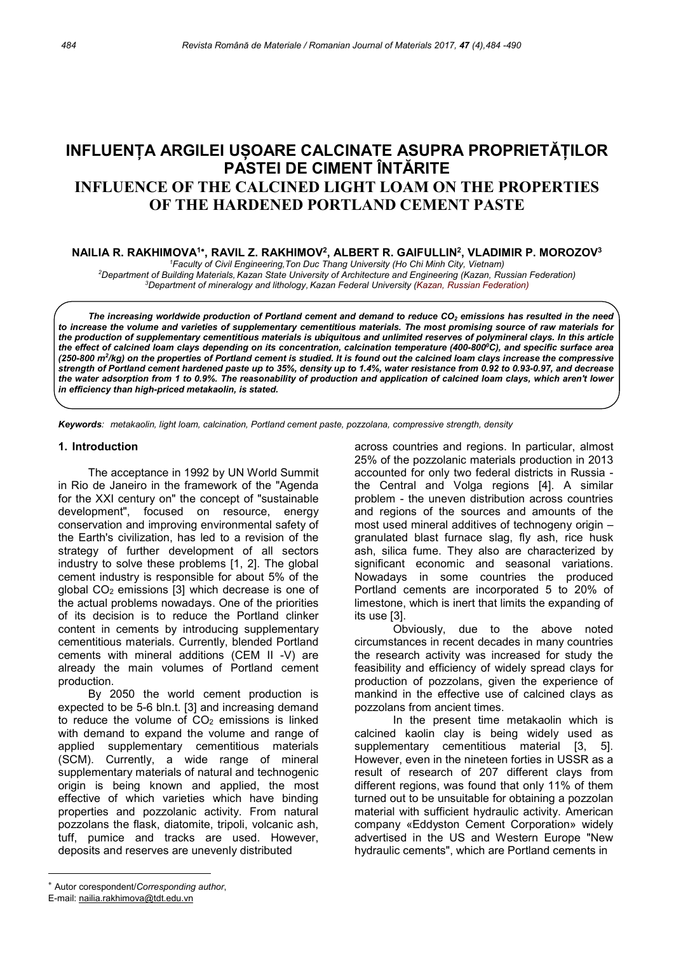# INFLUENȚA ARGILEI UȘOARE CALCINATE ASUPRA PROPRIETĂȚILOR PASTEI DE CIMENT ÎNTĂRITE INFLUENCE OF THE CALCINED LIGHT LOAM ON THE PROPERTIES OF THE HARDENED PORTLAND CEMENT PASTE

### NAILIA R. RAKHIMOVA1\*, RAVIL Z. RAKHIMOV<sup>2</sup>, ALBERT R. GAIFULLIN<sup>2</sup>, VLADIMIR P. MOROZOV<sup>3</sup>

<sup>1</sup>Faculty of Civil Engineering, Ton Duc Thang University (Ho Chi Minh City, Vietnam) <sup>2</sup>Department of Building Materials,Kazan State University of Architecture and Engineering (Kazan, Russian Federation) <sup>3</sup>Department of mineralogy and lithology, Kazan Federal University (Kazan, Russian Federation)

The increasing worldwide production of Portland cement and demand to reduce  $CO<sub>2</sub>$  emissions has resulted in the need to increase the volume and varieties of supplementary cementitious materials. The most promising source of raw materials for the production of supplementary cementitious materials is ubiquitous and unlimited reserves of polymineral clays. In this article the effect of calcined loam clays depending on its concentration, calcination temperature (400-800°C), and specific surface area (250-800 m<sup>2</sup> /kg) on the properties of Portland cement is studied. It is found out the calcined loam clays increase the compressive strength of Portland cement hardened paste up to 35%, density up to 1.4%, water resistance from 0.92 to 0.93-0.97, and decrease the water adsorption from 1 to 0.9%. The reasonability of production and application of calcined loam clays, which aren't lower in efficiency than high-priced metakaolin, is stated.

Keywords: metakaolin, light loam, calcination, Portland cement paste, pozzolana, compressive strength, density

#### 1. Introduction

The acceptance in 1992 by UN World Summit in Rio de Janeiro in the framework of the "Agenda for the XXI century on" the concept of "sustainable development", focused on resource, energy conservation and improving environmental safety of the Earth's civilization, has led to a revision of the strategy of further development of all sectors industry to solve these problems [1, 2]. The global cement industry is responsible for about 5% of the global  $CO<sub>2</sub>$  emissions [3] which decrease is one of the actual problems nowadays. One of the priorities of its decision is to reduce the Portland clinker content in cements by introducing supplementary cementitious materials. Currently, blended Portland cements with mineral additions (CEM II -V) are already the main volumes of Portland cement production.

By 2050 the world cement production is expected to be 5-6 bln.t. [3] and increasing demand to reduce the volume of  $CO<sub>2</sub>$  emissions is linked with demand to expand the volume and range of applied supplementary cementitious materials (SCM). Currently, a wide range of mineral supplementary materials of natural and technogenic origin is being known and applied, the most effective of which varieties which have binding properties and pozzolanic activity. From natural pozzolans the flask, diatomite, tripoli, volcanic ash, tuff, pumice and tracks are used. However, deposits and reserves are unevenly distributed

 across countries and regions. In particular, almost 25% of the pozzolanic materials production in 2013 accounted for only two federal districts in Russia the Central and Volga regions [4]. A similar problem - the uneven distribution across countries and regions of the sources and amounts of the most used mineral additives of technogeny origin – granulated blast furnace slag, fly ash, rice husk ash, silica fume. They also are characterized by significant economic and seasonal variations. Nowadays in some countries the produced Portland cements are incorporated 5 to 20% of limestone, which is inert that limits the expanding of its use [3].

Obviously, due to the above noted circumstances in recent decades in many countries the research activity was increased for study the feasibility and efficiency of widely spread clays for production of pozzolans, given the experience of mankind in the effective use of calcined clays as pozzolans from ancient times.

In the present time metakaolin which is calcined kaolin clay is being widely used as supplementary cementitious material [3, 5]. However, even in the nineteen forties in USSR as a result of research of 207 different clays from different regions, was found that only 11% of them turned out to be unsuitable for obtaining a pozzolan material with sufficient hydraulic activity. American company «Eddyston Cement Corporation» widely advertised in the US and Western Europe "New hydraulic cements", which are Portland cements in

Autor corespondent/Corresponding author,

E-mail: nailia.rakhimova@tdt.edu.vn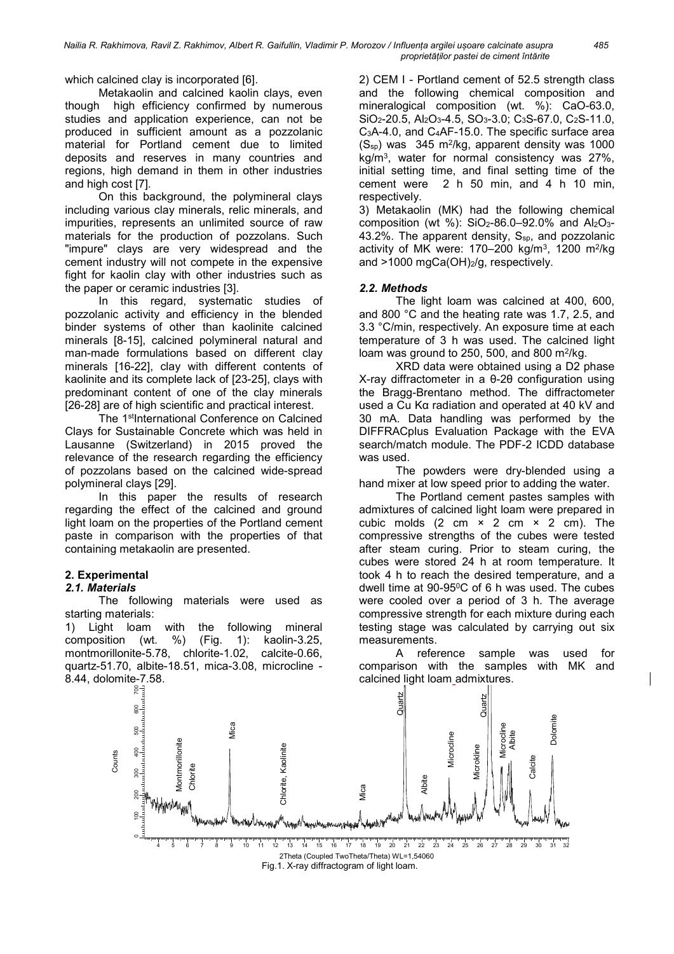which calcined clay is incorporated [6].

Metakaolin and calcined kaolin clays, even though high efficiency confirmed by numerous studies and application experience, can not be produced in sufficient amount as a pozzolanic material for Portland cement due to limited deposits and reserves in many countries and regions, high demand in them in other industries and high cost [7].

On this background, the polymineral clays including various clay minerals, relic minerals, and impurities, represents an unlimited source of raw materials for the production of pozzolans. Such "impure" clays are very widespread and the cement industry will not compete in the expensive fight for kaolin clay with other industries such as the paper or ceramic industries [3].

In this regard, systematic studies of pozzolanic activity and efficiency in the blended binder systems of other than kaolinite calcined minerals [8-15], calcined polymineral natural and man-made formulations based on different clay minerals [16-22], clay with different contents of kaolinite and its complete lack of [23-25], clays with predominant content of one of the clay minerals [26-28] are of high scientific and practical interest.

The 1<sup>st</sup>International Conference on Calcined Clays for Sustainable Concrete which was held in Lausanne (Switzerland) in 2015 proved the relevance of the research regarding the efficiency of pozzolans based on the calcined wide-spread polymineral clays [29].

In this paper the results of research regarding the effect of the calcined and ground light loam on the properties of the Portland cement paste in comparison with the properties of that containing metakaolin are presented.

# 2. Experimental

# 2.1. Materials

The following materials were used as starting materials:

1) Light loam with the following mineral composition (wt. %) (Fig. 1): kaolin-3.25, montmorillonite-5.78, chlorite-1.02, calcite-0.66, quartz-51.70, albite-18.51, mica-3.08, microcline - 8.44, dolomite-7.58.<br>हूर्∃

2) CEM I - Portland cement of 52.5 strength class and the following chemical composition and mineralogical composition (wt. %): CaO-63.0, SiO<sub>2</sub>-20.5, Al<sub>2</sub>O<sub>3</sub>-4.5, SO<sub>3</sub>-3.0; C<sub>3</sub>S-67.0, C<sub>2</sub>S-11.0, C3A-4.0, and C4AF-15.0. The specific surface area  $(S_{sp})$  was 345 m<sup>2</sup>/kg, apparent density was 1000 kg/m<sup>3</sup> , water for normal consistency was 27%, initial setting time, and final setting time of the cement were 2 h 50 min, and 4 h 10 min, respectively.

3) Metakaolin (MK) had the following chemical composition (wt %):  $SiO<sub>2</sub>-86.0-92.0%$  and  $Al<sub>2</sub>O<sub>3</sub>-$ 43.2%. The apparent density,  $S_{sp}$ , and pozzolanic activity of MK were:  $170-200$  kg/m<sup>3</sup>,  $1200$  m<sup>2</sup>/kg and  $>1000$  mgCa(OH) $_2$ /g, respectively.

### 2.2. Methods

The light loam was calcined at 400, 600, and 800 °C and the heating rate was 1.7, 2.5, and 3.3 °С/min, respectively. An exposure time at each temperature of 3 h was used. The calcined light loam was ground to 250, 500, and 800  $\mathrm{m}^2/\mathrm{kg}$ .

XRD data were obtained using a D2 phase X-ray diffractometer in a θ-2θ configuration using the Bragg-Brentano method. The diffractometer used a Cu Kα radiation and operated at 40 kV and 30 mA. Data handling was performed by the DIFFRACplus Evaluation Package with the EVA search/match module. The PDF-2 ICDD database was used.

The powders were dry-blended using a hand mixer at low speed prior to adding the water.

The Portland cement pastes samples with admixtures of calcined light loam were prepared in cubic molds  $(2 \text{ cm} \times 2 \text{ cm} \times 2 \text{ cm})$ . The compressive strengths of the cubes were tested after steam curing. Prior to steam curing, the cubes were stored 24 h at room temperature. It took 4 h to reach the desired temperature, and a dwell time at 90-95<sup>°</sup>C of 6 h was used. The cubes were cooled over a period of 3 h. The average compressive strength for each mixture during each testing stage was calculated by carrying out six measurements.

A reference sample was used for comparison with the samples with MK and calcined light loam admixtures.

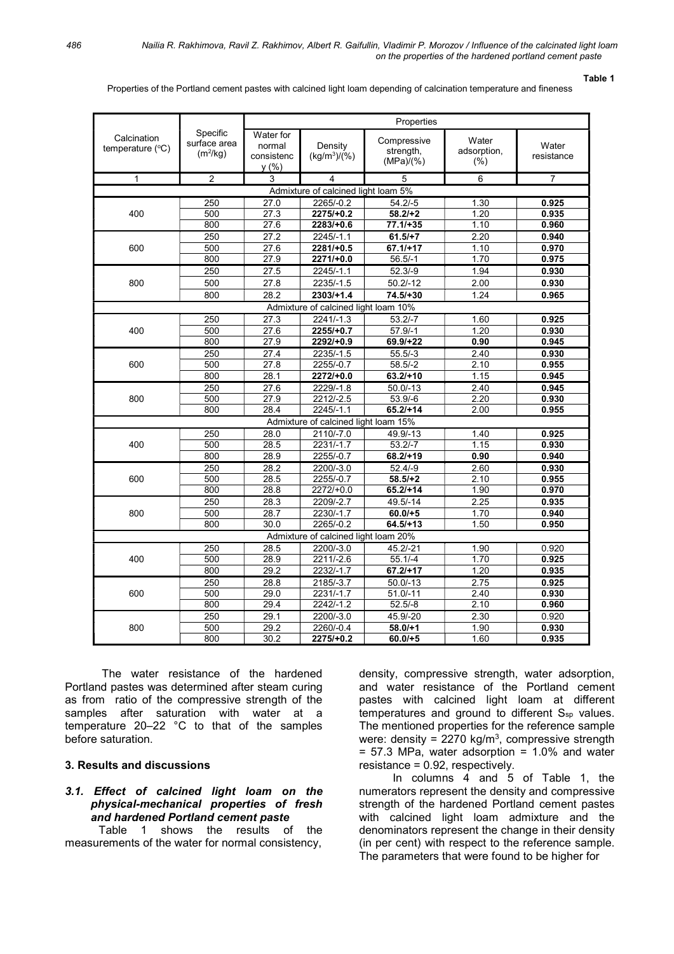#### Table 1

Properties of the Portland cement pastes with calcined light loam depending of calcination temperature and fineness

|                                          |                                        | Properties                                |                           |                                                                                                                                                                                                                                                                                                                                                                                                                                                                                                        |                                 |                     |
|------------------------------------------|----------------------------------------|-------------------------------------------|---------------------------|--------------------------------------------------------------------------------------------------------------------------------------------------------------------------------------------------------------------------------------------------------------------------------------------------------------------------------------------------------------------------------------------------------------------------------------------------------------------------------------------------------|---------------------------------|---------------------|
| Calcination<br>temperature $(^{\circ}C)$ | Specific<br>surface area<br>$(m^2/kg)$ | Water for<br>normal<br>consistenc<br>y(%) | Density<br>$(kg/m^3)/(%)$ | Compressive<br>strength,<br>(MPa)/(%)                                                                                                                                                                                                                                                                                                                                                                                                                                                                  | Water<br>adsorption,<br>$(\% )$ | Water<br>resistance |
| 1                                        | $\overline{2}$                         | 3                                         | 4                         | 5                                                                                                                                                                                                                                                                                                                                                                                                                                                                                                      | 6                               | 7                   |
|                                          |                                        |                                           |                           |                                                                                                                                                                                                                                                                                                                                                                                                                                                                                                        |                                 |                     |
|                                          | 250                                    | 27.0                                      | 2265/-0.2                 | $54.2/-5$                                                                                                                                                                                                                                                                                                                                                                                                                                                                                              | 1.30                            | 0.925               |
| 400                                      | 500                                    | 27.3                                      | $2275/+0.2$               |                                                                                                                                                                                                                                                                                                                                                                                                                                                                                                        | 1.20                            | 0.935               |
|                                          | 800                                    | 27.6                                      | $2283/+0.6$               | 58.2/H2<br>$77.1/+35$<br>1.10<br>$61.5/+7$<br>2.20<br>$67.1/+17$<br>1.10<br>$56.5/-1$<br>1.70<br>$52.3/-9$<br>1.94<br>$50.2/-12$<br>2.00<br>1.24<br>$74.5/+30$<br>$53.2/-7$<br>1.60<br>$57.9/-1$<br>1.20<br>$69.9/+22$<br>0.90<br>$55.5/-3$<br>2.40<br>2.10<br>$58.5/-2$<br>$63.2/+10$<br>1.15<br>2.40<br>$50.0/-13$<br>$53.9/-6$<br>2.20<br>$65.2/+14$<br>2.00<br>49.9/-13<br>1.40<br>1.15<br>$53.2/-7$<br>$68.2/+19$<br>0.90<br>$52.4/-9$<br>2.60<br>$58.5/+2$<br>2.10<br>1.90<br>$65.2/+14$         |                                 | 0.960               |
| 600                                      | 250                                    | 27.2                                      | 2245/-1.1                 |                                                                                                                                                                                                                                                                                                                                                                                                                                                                                                        |                                 | 0.940               |
|                                          | 500                                    | 27.6                                      |                           |                                                                                                                                                                                                                                                                                                                                                                                                                                                                                                        |                                 | 0.970               |
|                                          | 800                                    | 27.9                                      |                           | Admixture of calcined light loam 5%<br>49.5/-14<br>$60.0/+5$<br>$64.5/+13$<br>45.2/-21<br>$55.1/-4$<br>$67.2/+17$<br>$50.0/-13$<br>$51.0/-11$<br>$52.5/-8$                                                                                                                                                                                                                                                                                                                                             |                                 | 0.975               |
|                                          | 250                                    | 27.5                                      |                           |                                                                                                                                                                                                                                                                                                                                                                                                                                                                                                        |                                 | 0.930               |
| 800                                      | 500                                    | 27.8                                      |                           |                                                                                                                                                                                                                                                                                                                                                                                                                                                                                                        |                                 | 0.930               |
|                                          | 800                                    | 28.2                                      |                           |                                                                                                                                                                                                                                                                                                                                                                                                                                                                                                        |                                 | 0.965               |
|                                          |                                        |                                           |                           |                                                                                                                                                                                                                                                                                                                                                                                                                                                                                                        |                                 |                     |
|                                          | 250                                    | 27.3                                      | $2241/-1.3$               |                                                                                                                                                                                                                                                                                                                                                                                                                                                                                                        |                                 | 0.925               |
| 400                                      | 500                                    | 27.6                                      |                           |                                                                                                                                                                                                                                                                                                                                                                                                                                                                                                        |                                 | 0.930               |
|                                          | 800                                    | 27.9                                      |                           |                                                                                                                                                                                                                                                                                                                                                                                                                                                                                                        |                                 | 0.945               |
| 600                                      | 250                                    | 27.4                                      |                           |                                                                                                                                                                                                                                                                                                                                                                                                                                                                                                        |                                 | 0.930               |
|                                          | 500                                    | 27.8                                      |                           |                                                                                                                                                                                                                                                                                                                                                                                                                                                                                                        |                                 | 0.955               |
|                                          | 800                                    | 28.1                                      |                           |                                                                                                                                                                                                                                                                                                                                                                                                                                                                                                        |                                 | 0.945               |
| 800                                      | 250                                    | 27.6                                      |                           |                                                                                                                                                                                                                                                                                                                                                                                                                                                                                                        |                                 | 0.945               |
|                                          | 500                                    | 27.9                                      |                           |                                                                                                                                                                                                                                                                                                                                                                                                                                                                                                        |                                 | 0.930               |
|                                          | 800                                    | 28.4                                      |                           |                                                                                                                                                                                                                                                                                                                                                                                                                                                                                                        |                                 | 0.955               |
| 0.925                                    |                                        |                                           |                           |                                                                                                                                                                                                                                                                                                                                                                                                                                                                                                        |                                 |                     |
| 400                                      | 250<br>500                             | 28.0<br>28.5                              |                           |                                                                                                                                                                                                                                                                                                                                                                                                                                                                                                        |                                 | 0.930               |
|                                          | 800                                    | 28.9                                      |                           | $2281/+0.5$<br>$2271/+0.0$<br>2245/-1.1<br>2235/-1.5<br>$2303/+1.4$<br>Admixture of calcined light loam 10%<br>$2255/+0.7$<br>$2292/+0.9$<br>2235/-1.5<br>2255/-0.7<br>$2272/+0.0$<br>2229/-1.8<br>2212/-2.5<br>$2245/-1.1$<br>Admixture of calcined light loam 15%<br>2110/-7.0<br>2231/-1.7<br>2255/-0.7<br>2200/-3.0<br>2255/-0.7<br>$2272/+0.0$<br>2.25<br>2209/-2.7<br>2230/-1.7<br>1.70<br>2265/-0.2<br>1.50<br>2200/-3.0<br>1.90<br>2211/-2.6<br>1.70<br>2232/-1.7<br>1.20<br>2185/-3.7<br>2.75 |                                 | 0.940               |
|                                          | 250                                    | 28.2                                      |                           |                                                                                                                                                                                                                                                                                                                                                                                                                                                                                                        |                                 | 0.930               |
| 600                                      | 500                                    | 28.5                                      |                           |                                                                                                                                                                                                                                                                                                                                                                                                                                                                                                        |                                 | 0.955               |
|                                          | 800                                    | 28.8                                      |                           |                                                                                                                                                                                                                                                                                                                                                                                                                                                                                                        |                                 | 0.970               |
|                                          | 250                                    | 28.3                                      |                           |                                                                                                                                                                                                                                                                                                                                                                                                                                                                                                        |                                 | 0.935               |
| 800                                      | 500                                    | 28.7                                      |                           |                                                                                                                                                                                                                                                                                                                                                                                                                                                                                                        |                                 | 0.940               |
|                                          | 800                                    | 30.0                                      |                           |                                                                                                                                                                                                                                                                                                                                                                                                                                                                                                        |                                 | 0.950               |
| Admixture of calcined light loam 20%     |                                        |                                           |                           |                                                                                                                                                                                                                                                                                                                                                                                                                                                                                                        |                                 |                     |
|                                          | 250                                    | 28.5                                      |                           |                                                                                                                                                                                                                                                                                                                                                                                                                                                                                                        |                                 | 0.920               |
| 400                                      | 500                                    | 28.9                                      |                           |                                                                                                                                                                                                                                                                                                                                                                                                                                                                                                        |                                 | 0.925               |
|                                          | 800                                    | 29.2                                      |                           |                                                                                                                                                                                                                                                                                                                                                                                                                                                                                                        |                                 | 0.935               |
|                                          | 250                                    | 28.8                                      |                           |                                                                                                                                                                                                                                                                                                                                                                                                                                                                                                        |                                 | 0.925               |
| 600                                      | 500                                    | 29.0                                      | 2231/-1.7                 |                                                                                                                                                                                                                                                                                                                                                                                                                                                                                                        | 2.40                            | 0.930               |
|                                          | 800                                    | 29.4                                      | 2242/-1.2                 |                                                                                                                                                                                                                                                                                                                                                                                                                                                                                                        | 2.10                            | 0.960               |
|                                          | 250                                    | 29.1                                      | 2200/-3.0                 | 45.9/-20                                                                                                                                                                                                                                                                                                                                                                                                                                                                                               | 2.30                            | 0.920               |
| 800                                      | 500                                    | 29.2                                      | 2260/-0.4                 | $58.0/+1$                                                                                                                                                                                                                                                                                                                                                                                                                                                                                              | 1.90                            | 0.930               |
|                                          | 800                                    | 30.2                                      | $2275/+0.2$               | $60.0/+5$                                                                                                                                                                                                                                                                                                                                                                                                                                                                                              | 1.60                            | 0.935               |

The water resistance of the hardened Portland pastes was determined after steam curing as from ratio of the compressive strength of the samples after saturation with water at a temperature 20–22 °C to that of the samples before saturation.

# 3. Results and discussions

## 3.1. Effect of calcined light loam on the physical-mechanical properties of fresh and hardened Portland cement paste

Table 1 shows the results of the measurements of the water for normal consistency,

density, compressive strength, water adsorption, and water resistance of the Portland cement pastes with calcined light loam at different temperatures and ground to different S<sub>sp</sub> values. The mentioned properties for the reference sample were: density =  $2270 \text{ kg/m}^3$ , compressive strength  $= 57.3$  MPa, water adsorption  $= 1.0\%$  and water resistance = 0.92, respectively.

In columns 4 and 5 of Table 1, the numerators represent the density and compressive strength of the hardened Portland cement pastes with calcined light loam admixture and the denominators represent the change in their density (in per cent) with respect to the reference sample. The parameters that were found to be higher for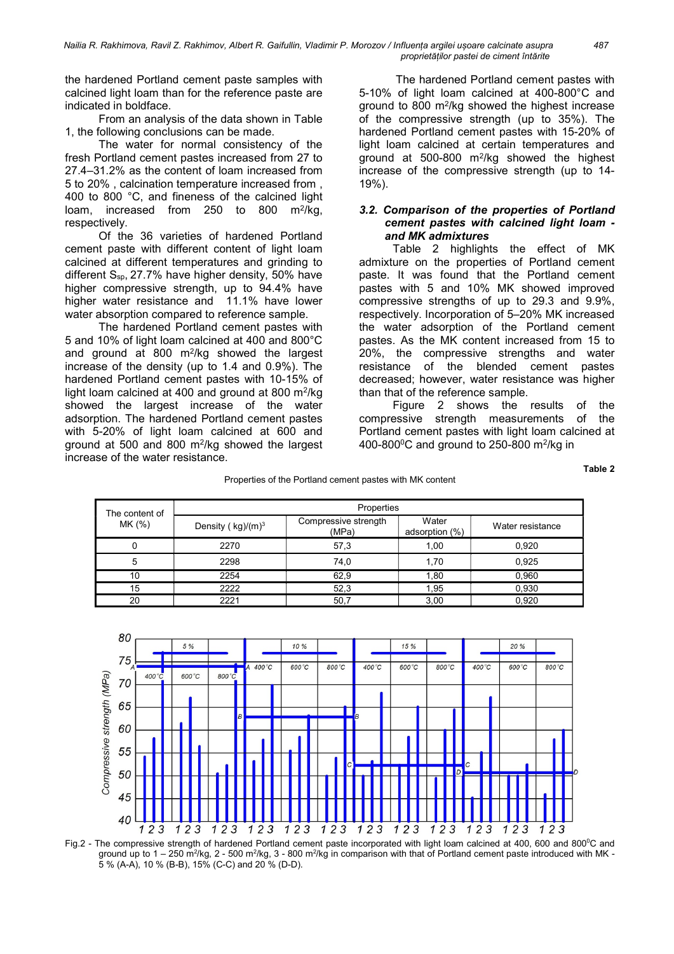the hardened Portland cement paste samples with calcined light loam than for the reference paste are indicated in boldface.

From an analysis of the data shown in Table 1, the following conclusions can be made.

The water for normal consistency of the fresh Portland cement pastes increased from 27 to 27.4–31.2% as the content of loam increased from 5 to 20% , calcination temperature increased from , 400 to 800 °C, and fineness of the calcined light loam, increased from 250 to 800 m<sup>2</sup>/kg, respectively.

Of the 36 varieties of hardened Portland cement paste with different content of light loam calcined at different temperatures and grinding to different  $S_{sp}$ , 27.7% have higher density, 50% have higher compressive strength, up to 94.4% have higher water resistance and 11.1% have lower water absorption compared to reference sample.

The hardened Portland cement pastes with 5 and 10% of light loam calcined at 400 and 800°C and ground at 800 m<sup>2</sup> /kg showed the largest increase of the density (up to 1.4 and 0.9%). The hardened Portland cement pastes with 10-15% of light loam calcined at 400 and ground at 800 m<sup>2</sup>/kg showed the largest increase of the water adsorption. The hardened Portland cement pastes with 5-20% of light loam calcined at 600 and ground at 500 and 800 m<sup>2</sup> /kg showed the largest increase of the water resistance.

The hardened Portland cement pastes with 5-10% of light loam calcined at 400-800°C and ground to 800 m<sup>2</sup> /kg showed the highest increase of the compressive strength (up to 35%). The hardened Portland cement pastes with 15-20% of light loam calcined at certain temperatures and ground at 500-800 m<sup>2</sup> /kg showed the highest increase of the compressive strength (up to 14- 19%).

### 3.2. Comparison of the properties of Portland cement pastes with calcined light loam and MK admixtures

Table 2 highlights the effect of MK admixture on the properties of Portland cement paste. It was found that the Portland cement pastes with 5 and 10% MK showed improved compressive strengths of up to 29.3 and 9.9%, respectively. Incorporation of 5–20% MK increased the water adsorption of the Portland cement pastes. As the MK content increased from 15 to 20%, the compressive strengths and water resistance of the blended cement pastes decreased; however, water resistance was higher than that of the reference sample.

Figure 2 shows the results of the compressive strength measurements of the Portland cement pastes with light loam calcined at 400-800 $\mathrm{^{0}C}$  and ground to 250-800 m<sup>2</sup>/kg in

Table 2

|  |  | Properties of the Portland cement pastes with MK content |  |  |
|--|--|----------------------------------------------------------|--|--|
|--|--|----------------------------------------------------------|--|--|

| The content of<br>MK (%) | Properties                        |                               |                         |                  |  |
|--------------------------|-----------------------------------|-------------------------------|-------------------------|------------------|--|
|                          | Density ( $kg$ )/(m) <sup>3</sup> | Compressive strength<br>(MPa) | Water<br>adsorption (%) | Water resistance |  |
|                          | 2270                              | 57,3                          | 1,00                    | 0,920            |  |
| 5                        | 2298                              | 74,0                          | 1,70                    | 0.925            |  |
| 10                       | 2254                              | 62,9                          | 1,80                    | 0,960            |  |
| 15                       | 2222                              | 52,3                          | 1,95                    | 0,930            |  |
| 20                       | 2221                              | 50,7                          | 3,00                    | 0,920            |  |



Fig.2 - The compressive strength of hardened Portland cement paste incorporated with light loam calcined at 400, 600 and 800°C and ground up to 1 – 250 m<sup>2</sup>/kg, 2 - 500 m<sup>2</sup>/kg, 3 - 800 m<sup>2</sup>/kg in comparison with that of Portland cement paste introduced with MK -5 % (А-А), 10 % (В-В), 15% (С-С) and 20 % (D-D).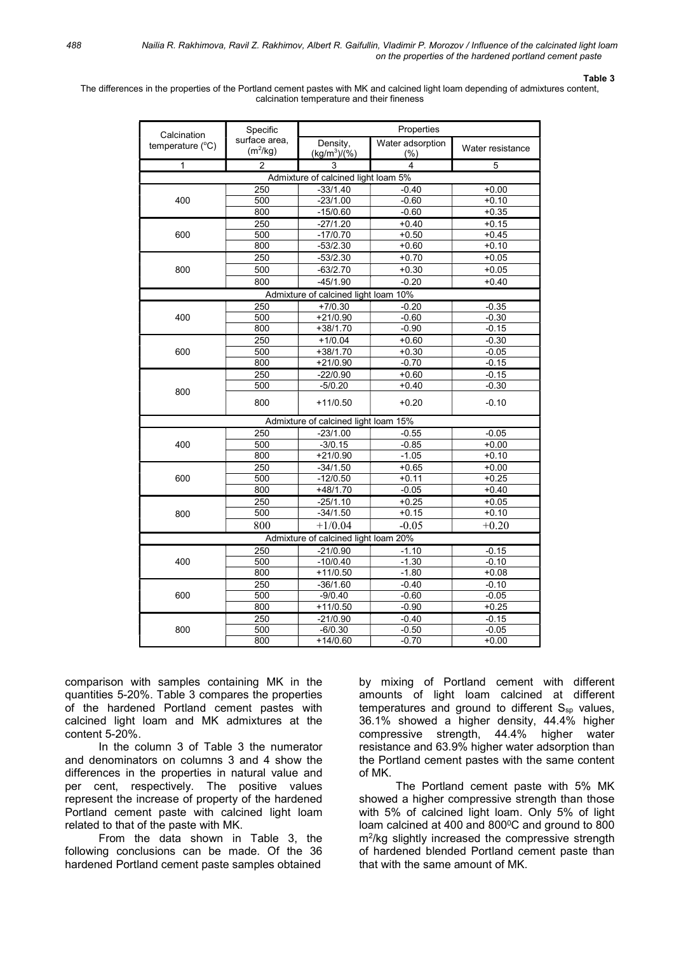### Table 3

The differences in the properties of the Portland cement pastes with MK and calcined light loam depending of admixtures content, calcination temperature and their fineness

| Calcination                          | Specific                    | Properties                           |                         |                  |  |  |
|--------------------------------------|-----------------------------|--------------------------------------|-------------------------|------------------|--|--|
| temperature (°C)                     | surface area,<br>$(m^2/kg)$ | Density,<br>$(kg/m^3)/(%)$           | Water adsorption<br>(%) | Water resistance |  |  |
| 1                                    | $\overline{2}$              | 3                                    | 4                       | 5                |  |  |
|                                      |                             | Admixture of calcined light loam 5%  |                         |                  |  |  |
|                                      | 250                         | $-33/1.40$                           | $-0.40$                 | $+0.00$          |  |  |
| 400                                  | 500                         | $-23/1.00$                           | $-0.60$                 | $+0.10$          |  |  |
|                                      | 800                         | $-15/0.60$                           | $-0.60$                 | $+0.35$          |  |  |
|                                      | 250                         | $-27/1.20$                           | $+0.40$                 | $+0.15$          |  |  |
| 600                                  | 500                         | $-17/0.70$                           | $+0.50$                 | $+0.45$          |  |  |
|                                      | 800                         | $-53/2.30$                           | $+0.60$                 | $+0.10$          |  |  |
|                                      | 250                         | $-53/2.30$                           | $+0.70$                 | $+0.05$          |  |  |
| 800                                  | 500                         | $-63/2.70$                           | $+0.30$                 | $+0.05$          |  |  |
|                                      | 800                         | $-45/1.90$                           | $-0.20$                 | $+0.40$          |  |  |
|                                      |                             | Admixture of calcined light loam 10% |                         |                  |  |  |
|                                      | 250                         | $+7/0.30$                            | $-0.20$                 | $-0.35$          |  |  |
| 400                                  | 500                         | $+21/0.90$                           | $-0.60$                 | $-0.30$          |  |  |
|                                      | 800                         | $+38/1.70$                           | $-0.90$                 | $-0.15$          |  |  |
|                                      | 250                         | $+1/0.04$                            | $+0.60$                 | $-0.30$          |  |  |
| 600                                  | 500                         | $+38/1.70$                           | $+0.30$                 | $-0.05$          |  |  |
|                                      | 800                         | $+21/0.90$                           | $-0.70$                 | $-0.15$          |  |  |
|                                      | 250                         | $-22/0.90$                           | $+0.60$                 | $-0.15$          |  |  |
| 800                                  | 500                         | $-5/0.20$                            | $+0.40$                 | $-0.30$          |  |  |
|                                      | 800                         | $+11/0.50$                           | $+0.20$                 | $-0.10$          |  |  |
|                                      |                             | Admixture of calcined light loam 15% |                         |                  |  |  |
|                                      | 250                         | $-23/1.00$                           | $-0.55$                 | $-0.05$          |  |  |
| 400                                  | 500                         | $-3/0.15$                            | $-0.85$                 | $+0.00$          |  |  |
|                                      | 800                         | $+21/0.90$                           | $-1.05$                 | $+0.10$          |  |  |
| 600                                  | 250                         | $-34/1.50$                           | $+0.65$                 | $+0.00$          |  |  |
|                                      | 500                         | $-12/0.50$                           | $+0.11$                 | $+0.25$          |  |  |
|                                      | 800                         | $+48/1.70$                           | $-0.05$                 | $+0.40$          |  |  |
| 800                                  | 250                         | $-25/1.10$                           | $+0.25$                 | $+0.05$          |  |  |
|                                      | 500                         | $-34/1.50$                           | $+0.15$                 | $+0.10$          |  |  |
|                                      | 800                         | $+1/0.04$                            | $-0.05$                 | $+0.20$          |  |  |
| Admixture of calcined light loam 20% |                             |                                      |                         |                  |  |  |
| 400                                  | 250                         | $-21/0.90$                           | $-1.10$                 | $-0.15$          |  |  |
|                                      | 500                         | $-10/0.40$                           | $-1.30$                 | $-0.10$          |  |  |
|                                      | 800                         | $+11/0.50$                           | $-1.80$                 | $+0.08$          |  |  |
|                                      | 250                         | $-36/1.60$                           | $-0.40$                 | $-0.10$          |  |  |
| 600                                  | 500                         | $-9/0.40$                            | $-0.60$                 | $-0.05$          |  |  |
|                                      | 800                         | $+11/0.50$                           | $-0.90$                 | $+0.25$          |  |  |
|                                      | 250                         | $-21/0.90$                           | $-0.40$                 | $-0.15$          |  |  |
| 800                                  | 500                         | $-6/0.30$                            | $-0.50$                 | $-0.05$          |  |  |
|                                      | 800                         | $+14/0.60$                           | $-0.70$                 | $+0.00$          |  |  |

comparison with samples containing MK in the quantities 5-20%. Table 3 compares the properties of the hardened Portland cement pastes with calcined light loam and MK admixtures at the content 5-20%.

In the column 3 of Table 3 the numerator and denominators on columns 3 and 4 show the differences in the properties in natural value and per cent, respectively. The positive values represent the increase of property of the hardened Portland cement paste with calcined light loam related to that of the paste with MK.

From the data shown in Table 3, the following conclusions can be made. Of the 36 hardened Portland cement paste samples obtained

by mixing of Portland cement with different amounts of light loam calcined at different temperatures and ground to different  $S_{sp}$  values, 36.1% showed a higher density, 44.4% higher compressive strength, 44.4% higher water resistance and 63.9% higher water adsorption than the Portland cement pastes with the same content of MK.

The Portland cement paste with 5% MK showed a higher compressive strength than those with 5% of calcined light loam. Only 5% of light loam calcined at 400 and 800°C and ground to 800 m<sup>2</sup> /kg slightly increased the compressive strength of hardened blended Portland cement paste than that with the same amount of MK.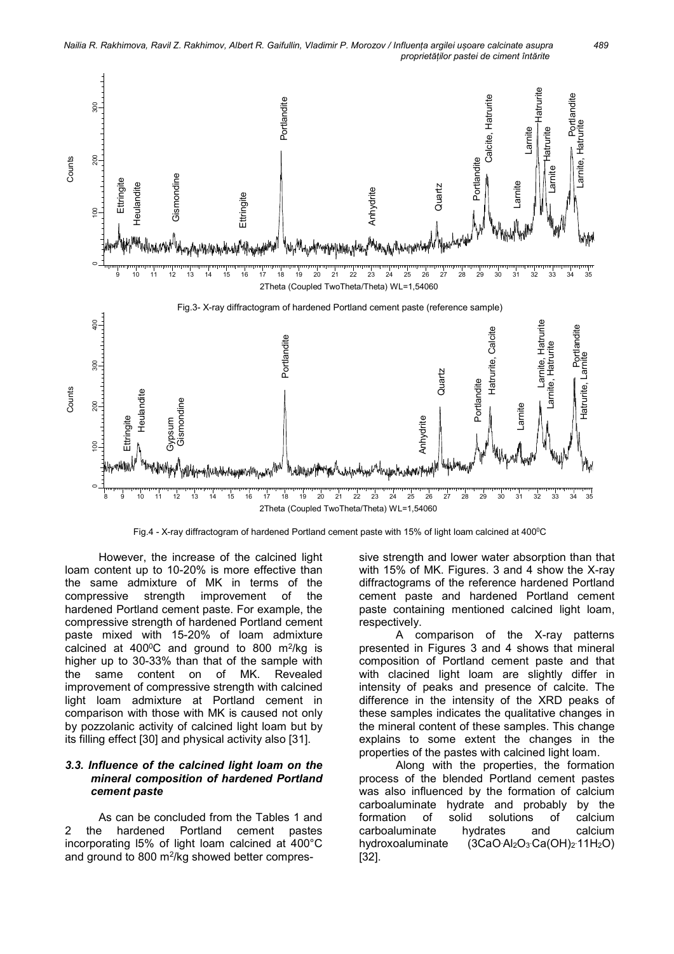Nailia R. Rakhimova, Ravil Z. Rakhimov, Albert R. Gaifullin, Vladimir P. Morozov / Influența argilei ușoare calcinate asupra 489 proprietăților pastei de ciment întărite



Fig.4 - X-ray diffractogram of hardened Portland cement paste with 15% of light loam calcined at 400°C

However, the increase of the calcined light loam content up to 10-20% is more effective than the same admixture of MK in terms of the compressive strength improvement of the hardened Portland cement paste. For example, the compressive strength of hardened Portland cement paste mixed with 15-20% of loam admixture calcined at 400 $\mathrm{^0C}$  and ground to 800 m<sup>2</sup>/kg is higher up to 30-33% than that of the sample with the same content on of MK. Revealed improvement of compressive strength with calcined light loam admixture at Portland cement in comparison with those with MK is caused not only by pozzolanic activity of calcined light loam but by its filling effect [30] and physical activity also [31].

#### 3.3. Influence of the calcined light loam on the mineral composition of hardened Portland cement paste

As can be concluded from the Tables 1 and 2 the hardened Portland cement pastes incorporating l5% of light loam calcined at 400°C and ground to 800 m<sup>2</sup> /kg showed better compressive strength and lower water absorption than that with 15% of MK. Figures. 3 and 4 show the X-ray diffractograms of the reference hardened Portland cement paste and hardened Portland cement paste containing mentioned calcined light loam, respectively.

A comparison of the X-ray patterns presented in Figures 3 and 4 shows that mineral composition of Portland cement paste and that with clacined light loam are slightly differ in intensity of peaks and presence of calcite. The difference in the intensity of the XRD peaks of these samples indicates the qualitative changes in the mineral content of these samples. This change explains to some extent the changes in the properties of the pastes with calcined light loam.

Along with the properties, the formation process of the blended Portland cement pastes was also influenced by the formation of calcium carboaluminate hydrate and probably by the formation of solid solutions of calcium carboaluminate hydrates and calcium hydroxoaluminate .Ca(ОН)<sup>2</sup> .11Н2О) [32].